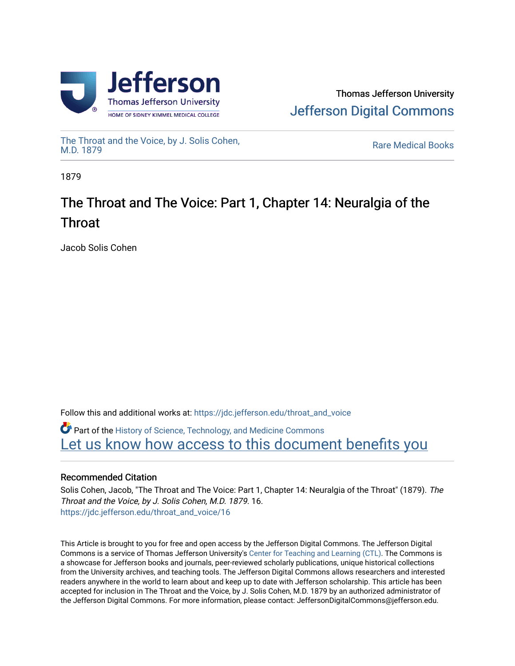

[The Throat and the Voice, by J. Solis Cohen,](https://jdc.jefferson.edu/throat_and_voice)

**Rare Medical Books** 

1879

# The Throat and The Voice: Part 1, Chapter 14: Neur algia of the Throat

Jacob Solis Cohen

Follow this and additional works at: [https://jdc.jefferson.edu/throat\\_and\\_voice](https://jdc.jefferson.edu/throat_and_voice?utm_source=jdc.jefferson.edu%2Fthroat_and_voice%2F16&utm_medium=PDF&utm_campaign=PDFCoverPages)

**P** Part of the History of Science, Technology, and Medicine Commons Let us know how access to this document benefits you

## Recommended Citation

Solis Cohen, Jacob, "The Throat and The Voice: Part 1, Chapter 14: Neuralgia of the Throat" (1879). The Throat and the Voice, by J. Solis Cohen, M.D. 1879. 16. [https://jdc.jefferson.edu/throat\\_and\\_voice/16](https://jdc.jefferson.edu/throat_and_voice/16?utm_source=jdc.jefferson.edu%2Fthroat_and_voice%2F16&utm_medium=PDF&utm_campaign=PDFCoverPages) 

This Article is brought to you for free and open access by the Jefferson Digital Commons. The Jefferson Digital Commons is a service of Thomas Jefferson University's [Center for Teaching and Learning \(CTL\)](http://www.jefferson.edu/university/teaching-learning.html/). The Commons is a showcase for Jefferson books and journals, peer-reviewed scholarly publications, unique historical collections from the University archives, and teaching tools. The Jefferson Digital Commons allows researchers and interested readers anywhere in the world to learn about and keep up to date with Jefferson scholarship. This article has been accepted for inclusion in The Throat and the Voice, by J. Solis Cohen, M.D. 1879 by an authorized administrator of the Jefferson Digital Commons. For more information, please contact: JeffersonDigitalCommons@jefferson.edu.